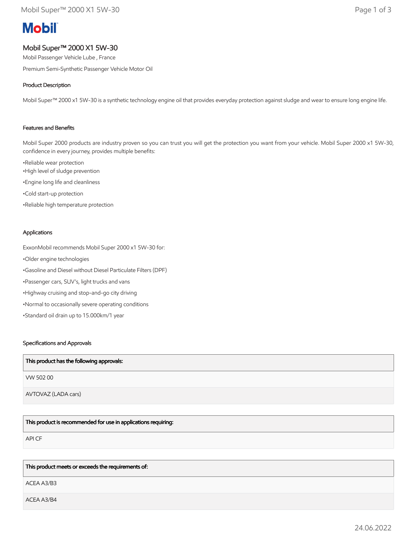# **Mobil**

# Mobil Super™ 2000 X1 5W-30

Mobil Passenger Vehicle Lube , France

Premium Semi-Synthetic Passenger Vehicle Motor Oil

# Product Description

Mobil Super™ 2000 x1 5W-30 is a synthetic technology engine oil that provides everyday protection against sludge and wear to ensure long engine life.

## Features and Benefits

Mobil Super 2000 products are industry proven so you can trust you will get the protection you want from your vehicle. Mobil Super 2000 x1 5W-30, confidence in every journey, provides multiple benefits:

•Reliable wear protection •High level of sludge prevention •Engine long life and cleanliness •Cold start-up protection •Reliable high temperature protection

#### Applications

ExxonMobil recommends Mobil Super 2000 x1 5W-30 for: •Older engine technologies •Gasoline and Diesel without Diesel Particulate Filters (DPF) •Passenger cars, SUV's, light trucks and vans •Highway cruising and stop-and-go city driving •Normal to occasionally severe operating conditions •Standard oil drain up to 15.000km/1 year

#### Specifications and Approvals

| This product has the following approvals: |
|-------------------------------------------|
| VW 50200                                  |
| AVTOVAZ (LADA cars)                       |

This product is recommended for use in applications requiring:

API CF

#### This product meets or exceeds the requirements of:

ACEA A3/B3

ACEA A3/B4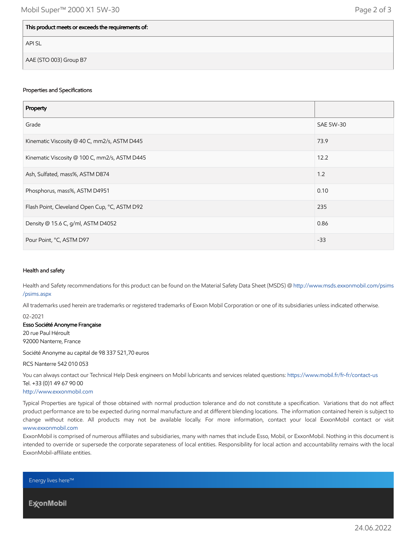## This product meets or exceeds the requirements of:

API SL

AAE (STO 003) Group B7

#### Properties and Specifications

| Property                                      |           |
|-----------------------------------------------|-----------|
| Grade                                         | SAE 5W-30 |
| Kinematic Viscosity @ 40 C, mm2/s, ASTM D445  | 73.9      |
| Kinematic Viscosity @ 100 C, mm2/s, ASTM D445 | 12.2      |
| Ash, Sulfated, mass%, ASTM D874               | 1.2       |
| Phosphorus, mass%, ASTM D4951                 | 0.10      |
| Flash Point, Cleveland Open Cup, °C, ASTM D92 | 235       |
| Density @ 15.6 C, g/ml, ASTM D4052            | 0.86      |
| Pour Point, °C, ASTM D97                      | $-33$     |

#### Health and safety

Health and Safety recommendations for this product can be found on the Material Safety Data Sheet (MSDS) @ [http://www.msds.exxonmobil.com/psims](http://www.msds.exxonmobil.com/psims/psims.aspx) /psims.aspx

All trademarks used herein are trademarks or registered trademarks of Exxon Mobil Corporation or one of its subsidiaries unless indicated otherwise.

02-2021

#### Esso Société Anonyme Française

20 rue Paul Héroult 92000 Nanterre, France

Société Anonyme au capital de 98 337 521,70 euros

RCS Nanterre 542 010 053

You can always contact our Technical Help Desk engineers on Mobil lubricants and services related questions:<https://www.mobil.fr/fr-fr/contact-us> Tel. +33 (0)1 49 67 90 00

#### [http://www.exxonmobil.com](http://www.exxonmobil.com/)

Typical Properties are typical of those obtained with normal production tolerance and do not constitute a specification. Variations that do not affect product performance are to be expected during normal manufacture and at different blending locations. The information contained herein is subject to change without notice. All products may not be available locally. For more information, contact your local ExxonMobil contact or visit [www.exxonmobil.com](http://www.exxonmobil.com/)

ExxonMobil is comprised of numerous affiliates and subsidiaries, many with names that include Esso, Mobil, or ExxonMobil. Nothing in this document is intended to override or supersede the corporate separateness of local entities. Responsibility for local action and accountability remains with the local ExxonMobil-affiliate entities.

Energy lives here™

**ExconMobil**